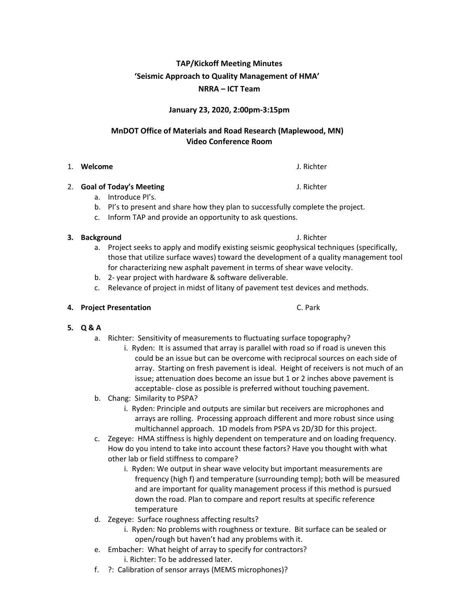# **TAP/Kickoff Meeting Minutes 'Seismic Approach to Quality Management of HMA' NRRA – ICT Team**

## **January 23, 2020, 2:00pm‐3:15pm**

# **MnDOT Office of Materials and Road Research (Maplewood, MN) Video Conference Room**

### 1. **Welcome** J. Richter

### 2. **Goal of Today's Meeting** J. Richter

- a. Introduce PI's.
- b. PI's to present and share how they plan to successfully complete the project.
- c. Inform TAP and provide an opportunity to ask questions.

## **3. Background** J. Richter

- a. Project seeks to apply and modify existing seismic geophysical techniques (specifically, those that utilize surface waves) toward the development of a quality management tool for characterizing new asphalt pavement in terms of shear wave velocity.
- b. 2- year project with hardware & software deliverable.
- c. Relevance of project in midst of litany of pavement test devices and methods.

### **4. Project Presentation** C. Park

# **5. Q & A**

- a. Richter: Sensitivity of measurements to fluctuating surface topography?
	- i. Ryden: It is assumed that array is parallel with road so if road is uneven this could be an issue but can be overcome with reciprocal sources on each side of array. Starting on fresh pavement is ideal. Height of receivers is not much of an issue; attenuation does become an issue but 1 or 2 inches above pavement is acceptable- close as possible is preferred without touching pavement.
- b. Chang: Similarity to PSPA?
	- i. Ryden: Principle and outputs are similar but receivers are microphones and arrays are rolling. Processing approach different and more robust since using multichannel approach. 1D models from PSPA vs 2D/3D for this project.
- c. Zegeye: HMA stiffness is highly dependent on temperature and on loading frequency. How do you intend to take into account these factors? Have you thought with what other lab or field stiffness to compare?
	- i. Ryden: We output in shear wave velocity but important measurements are frequency (high f) and temperature (surrounding temp); both will be measured and are important for quality management process if this method is pursued down the road. Plan to compare and report results at specific reference temperature
- d. Zegeye: Surface roughness affecting results?
	- i. Ryden: No problems with roughness or texture. Bit surface can be sealed or open/rough but haven't had any problems with it.
- e. Embacher: What height of array to specify for contractors? i. Richter: To be addressed later.
- f. ?: Calibration of sensor arrays (MEMS microphones)?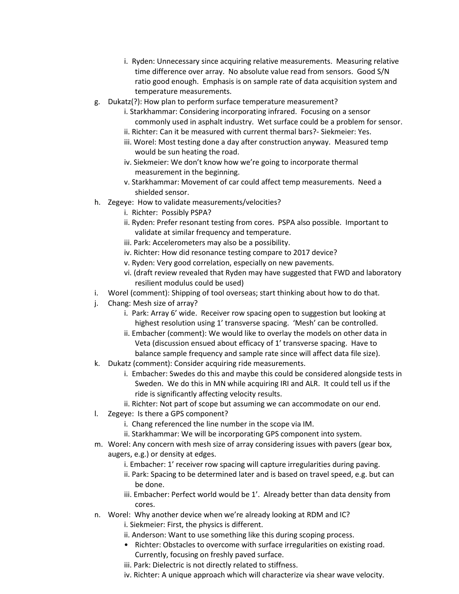- i. Ryden: Unnecessary since acquiring relative measurements. Measuring relative time difference over array. No absolute value read from sensors. Good S/N ratio good enough. Emphasis is on sample rate of data acquisition system and temperature measurements.
- g. Dukatz(?): How plan to perform surface temperature measurement?
	- i. Starkhammar: Considering incorporating infrared. Focusing on a sensor commonly used in asphalt industry. Wet surface could be a problem for sensor. ii. Richter: Can it be measured with current thermal bars?- Siekmeier: Yes.
	- iii. Worel: Most testing done a day after construction anyway. Measured temp would be sun heating the road.
	- iv. Siekmeier: We don't know how we're going to incorporate thermal measurement in the beginning.
	- v. Starkhammar: Movement of car could affect temp measurements. Need a shielded sensor.
- h. Zegeye: How to validate measurements/velocities?
	- i. Richter: Possibly PSPA?
	- ii. Ryden: Prefer resonant testing from cores. PSPA also possible. Important to validate at similar frequency and temperature.
	- iii. Park: Accelerometers may also be a possibility.
	- iv. Richter: How did resonance testing compare to 2017 device?
	- v. Ryden: Very good correlation, especially on new pavements.
	- vi. (draft review revealed that Ryden may have suggested that FWD and laboratory resilient modulus could be used)
- i. Worel (comment): Shipping of tool overseas; start thinking about how to do that.
- j. Chang: Mesh size of array?
	- i. Park: Array 6' wide. Receiver row spacing open to suggestion but looking at highest resolution using 1' transverse spacing. 'Mesh' can be controlled.
	- ii. Embacher (comment): We would like to overlay the models on other data in Veta (discussion ensued about efficacy of 1' transverse spacing. Have to balance sample frequency and sample rate since will affect data file size).
- k. Dukatz (comment): Consider acquiring ride measurements.
	- i. Embacher: Swedes do this and maybe this could be considered alongside tests in Sweden. We do this in MN while acquiring IRI and ALR. It could tell us if the ride is significantly affecting velocity results.
	- ii. Richter: Not part of scope but assuming we can accommodate on our end.
- l. Zegeye: Is there a GPS component?
	- i. Chang referenced the line number in the scope via IM.
	- ii. Starkhammar: We will be incorporating GPS component into system.
- m. Worel: Any concern with mesh size of array considering issues with pavers (gear box, augers, e.g.) or density at edges.
	- i. Embacher: 1' receiver row spacing will capture irregularities during paving.
	- ii. Park: Spacing to be determined later and is based on travel speed, e.g. but can be done.
	- iii. Embacher: Perfect world would be 1'. Already better than data density from cores.
- n. Worel: Why another device when we're already looking at RDM and IC?
	- i. Siekmeier: First, the physics is different.
	- ii. Anderson: Want to use something like this during scoping process.
	- Richter: Obstacles to overcome with surface irregularities on existing road. Currently, focusing on freshly paved surface.
	- iii. Park: Dielectric is not directly related to stiffness.
	- iv. Richter: A unique approach which will characterize via shear wave velocity.